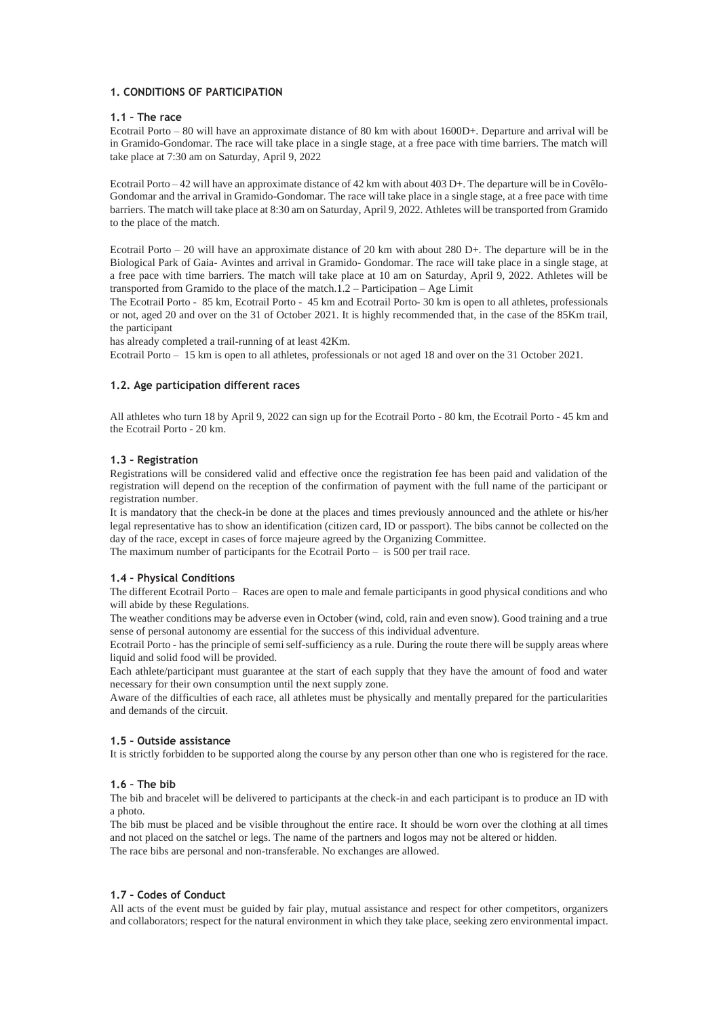## **1. CONDITIONS OF PARTICIPATION**

#### **1.1 – The race**

Ecotrail Porto – 80 will have an approximate distance of 80 km with about 1600D+. Departure and arrival will be in Gramido-Gondomar. The race will take place in a single stage, at a free pace with time barriers. The match will take place at 7:30 am on Saturday, April 9, 2022

Ecotrail Porto – 42 will have an approximate distance of 42 km with about 403 D+. The departure will be in Covêlo-Gondomar and the arrival in Gramido-Gondomar. The race will take place in a single stage, at a free pace with time barriers. The match will take place at 8:30 am on Saturday, April 9, 2022. Athletes will be transported from Gramido to the place of the match.

Ecotrail Porto – 20 will have an approximate distance of 20 km with about 280 D+. The departure will be in the Biological Park of Gaia- Avintes and arrival in Gramido- Gondomar. The race will take place in a single stage, at a free pace with time barriers. The match will take place at 10 am on Saturday, April 9, 2022. Athletes will be transported from Gramido to the place of the match.1.2 – Participation – Age Limit

The Ecotrail Porto - 85 km, Ecotrail Porto - 45 km and Ecotrail Porto- 30 km is open to all athletes, professionals or not, aged 20 and over on the 31 of October 2021. It is highly recommended that, in the case of the 85Km trail, the participant

has already completed a trail-running of at least 42Km.

Ecotrail Porto – 15 km is open to all athletes, professionals or not aged 18 and over on the 31 October 2021.

#### **1.2. Age participation different races**

All athletes who turn 18 by April 9, 2022 can sign up for the Ecotrail Porto - 80 km, the Ecotrail Porto - 45 km and the Ecotrail Porto - 20 km.

#### **1.3 – Registration**

Registrations will be considered valid and effective once the registration fee has been paid and validation of the registration will depend on the reception of the confirmation of payment with the full name of the participant or registration number.

It is mandatory that the check-in be done at the places and times previously announced and the athlete or his/her legal representative has to show an identification (citizen card, ID or passport). The bibs cannot be collected on the day of the race, except in cases of force majeure agreed by the Organizing Committee.

The maximum number of participants for the Ecotrail Porto – is 500 per trail race.

# **1.4 – Physical Conditions**

The different Ecotrail Porto – Races are open to male and female participants in good physical conditions and who will abide by these Regulations.

The weather conditions may be adverse even in October (wind, cold, rain and even snow). Good training and a true sense of personal autonomy are essential for the success of this individual adventure.

Ecotrail Porto - has the principle of semi self-sufficiency as a rule. During the route there will be supply areas where liquid and solid food will be provided.

Each athlete/participant must guarantee at the start of each supply that they have the amount of food and water necessary for their own consumption until the next supply zone.

Aware of the difficulties of each race, all athletes must be physically and mentally prepared for the particularities and demands of the circuit.

#### **1.5 – Outside assistance**

It is strictly forbidden to be supported along the course by any person other than one who is registered for the race.

#### **1.6 – The bib**

The bib and bracelet will be delivered to participants at the check-in and each participant is to produce an ID with a photo.

The bib must be placed and be visible throughout the entire race. It should be worn over the clothing at all times and not placed on the satchel or legs. The name of the partners and logos may not be altered or hidden. The race bibs are personal and non-transferable. No exchanges are allowed.

#### **1.7 – Codes of Conduct**

All acts of the event must be guided by fair play, mutual assistance and respect for other competitors, organizers and collaborators; respect for the natural environment in which they take place, seeking zero environmental impact.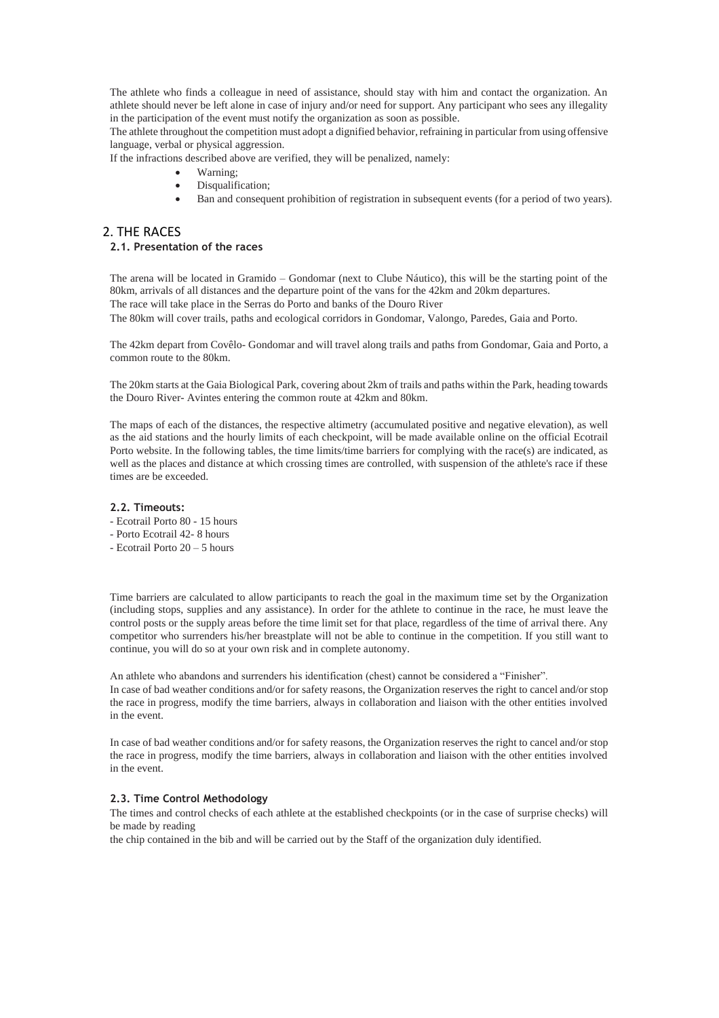The athlete who finds a colleague in need of assistance, should stay with him and contact the organization. An athlete should never be left alone in case of injury and/or need for support. Any participant who sees any illegality in the participation of the event must notify the organization as soon as possible.

The athlete throughout the competition must adopt a dignified behavior, refraining in particular from using offensive language, verbal or physical aggression.

If the infractions described above are verified, they will be penalized, namely:

- Warning;
- Disqualification;
- Ban and consequent prohibition of registration in subsequent events (for a period of two years).

# 2. THE RACES

# **2.1. Presentation of the races**

The arena will be located in Gramido – Gondomar (next to Clube Náutico), this will be the starting point of the 80km, arrivals of all distances and the departure point of the vans for the 42km and 20km departures. The race will take place in the Serras do Porto and banks of the Douro River

The 80km will cover trails, paths and ecological corridors in Gondomar, Valongo, Paredes, Gaia and Porto.

The 42km depart from Covêlo- Gondomar and will travel along trails and paths from Gondomar, Gaia and Porto, a common route to the 80km.

The 20km starts at the Gaia Biological Park, covering about 2km of trails and paths within the Park, heading towards the Douro River- Avintes entering the common route at 42km and 80km.

The maps of each of the distances, the respective altimetry (accumulated positive and negative elevation), as well as the aid stations and the hourly limits of each checkpoint, will be made available online on the official Ecotrail Porto website. In the following tables, the time limits/time barriers for complying with the race(s) are indicated, as well as the places and distance at which crossing times are controlled, with suspension of the athlete's race if these times are be exceeded.

## **2.2. Timeouts:**

- Ecotrail Porto 80 15 hours
- Porto Ecotrail 42- 8 hours
- Ecotrail Porto 20 5 hours

Time barriers are calculated to allow participants to reach the goal in the maximum time set by the Organization (including stops, supplies and any assistance). In order for the athlete to continue in the race, he must leave the control posts or the supply areas before the time limit set for that place, regardless of the time of arrival there. Any competitor who surrenders his/her breastplate will not be able to continue in the competition. If you still want to continue, you will do so at your own risk and in complete autonomy.

An athlete who abandons and surrenders his identification (chest) cannot be considered a "Finisher". In case of bad weather conditions and/or for safety reasons, the Organization reserves the right to cancel and/or stop the race in progress, modify the time barriers, always in collaboration and liaison with the other entities involved in the event.

In case of bad weather conditions and/or for safety reasons, the Organization reserves the right to cancel and/or stop the race in progress, modify the time barriers, always in collaboration and liaison with the other entities involved in the event.

#### **2.3. Time Control Methodology**

The times and control checks of each athlete at the established checkpoints (or in the case of surprise checks) will be made by reading

the chip contained in the bib and will be carried out by the Staff of the organization duly identified.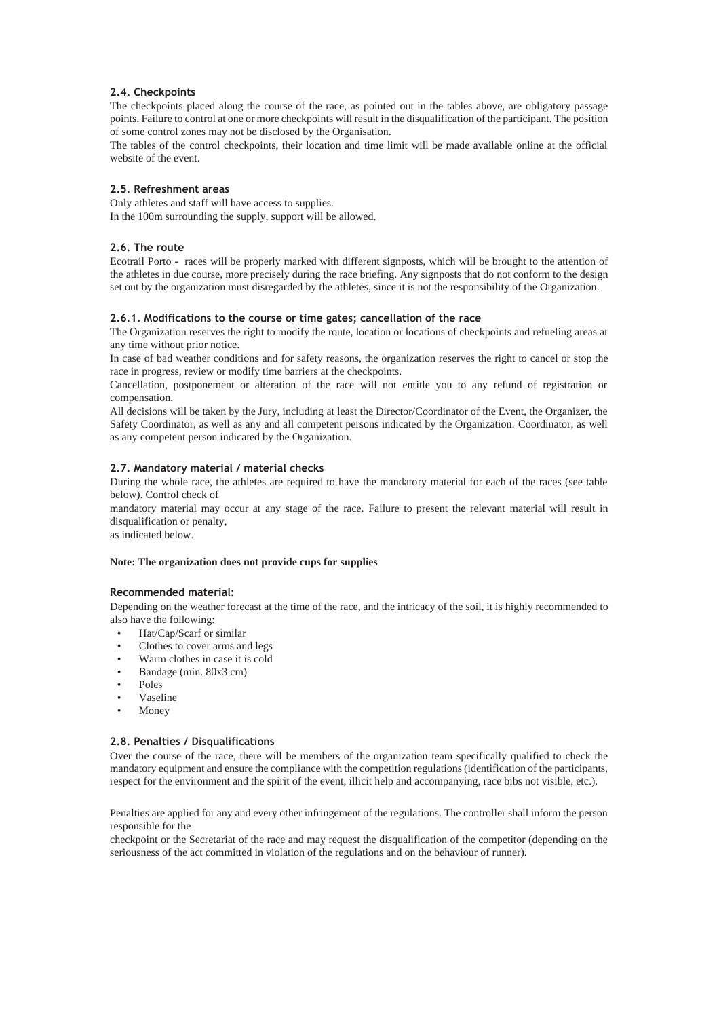## **2.4. Checkpoints**

The checkpoints placed along the course of the race, as pointed out in the tables above, are obligatory passage points. Failure to control at one or more checkpoints will result in the disqualification of the participant. The position of some control zones may not be disclosed by the Organisation.

The tables of the control checkpoints, their location and time limit will be made available online at the official website of the event.

#### **2.5. Refreshment areas**

Only athletes and staff will have access to supplies. In the 100m surrounding the supply, support will be allowed.

### **2.6. The route**

Ecotrail Porto - races will be properly marked with different signposts, which will be brought to the attention of the athletes in due course, more precisely during the race briefing. Any signposts that do not conform to the design set out by the organization must disregarded by the athletes, since it is not the responsibility of the Organization.

#### **2.6.1. Modifications to the course or time gates; cancellation of the race**

The Organization reserves the right to modify the route, location or locations of checkpoints and refueling areas at any time without prior notice.

In case of bad weather conditions and for safety reasons, the organization reserves the right to cancel or stop the race in progress, review or modify time barriers at the checkpoints.

Cancellation, postponement or alteration of the race will not entitle you to any refund of registration or compensation.

All decisions will be taken by the Jury, including at least the Director/Coordinator of the Event, the Organizer, the Safety Coordinator, as well as any and all competent persons indicated by the Organization. Coordinator, as well as any competent person indicated by the Organization.

#### **2.7. Mandatory material / material checks**

During the whole race, the athletes are required to have the mandatory material for each of the races (see table below). Control check of

mandatory material may occur at any stage of the race. Failure to present the relevant material will result in disqualification or penalty,

as indicated below.

#### **Note: The organization does not provide cups for supplies**

#### **Recommended material:**

Depending on the weather forecast at the time of the race, and the intricacy of the soil, it is highly recommended to also have the following:

- Hat/Cap/Scarf or similar
- Clothes to cover arms and legs
- Warm clothes in case it is cold
- Bandage (min. 80x3 cm)
- Poles
- Vaseline
- **Money**

#### **2.8. Penalties / Disqualifications**

Over the course of the race, there will be members of the organization team specifically qualified to check the mandatory equipment and ensure the compliance with the competition regulations (identification of the participants, respect for the environment and the spirit of the event, illicit help and accompanying, race bibs not visible, etc.).

Penalties are applied for any and every other infringement of the regulations. The controller shall inform the person responsible for the

checkpoint or the Secretariat of the race and may request the disqualification of the competitor (depending on the seriousness of the act committed in violation of the regulations and on the behaviour of runner).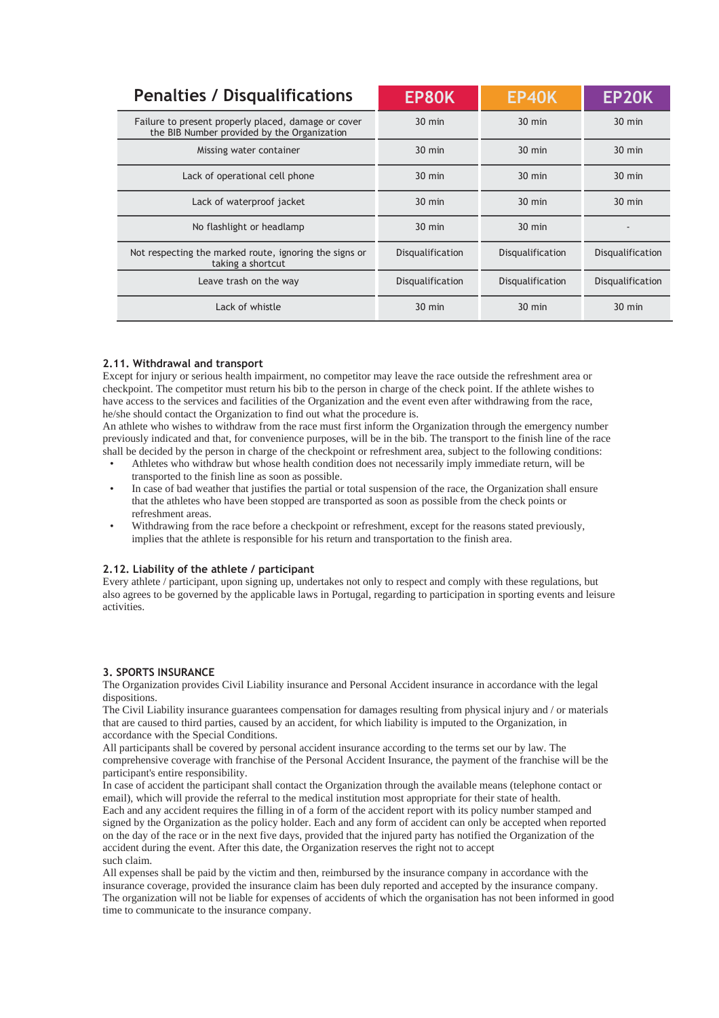| <b>Penalties / Disqualifications</b>                                                               | EP80K            | <b>EP40K</b>     | EP20K            |
|----------------------------------------------------------------------------------------------------|------------------|------------------|------------------|
| Failure to present properly placed, damage or cover<br>the BIB Number provided by the Organization | $30 \text{ min}$ | $30 \text{ min}$ | $30 \text{ min}$ |
| Missing water container                                                                            | $30 \text{ min}$ | $30 \text{ min}$ | $30 \text{ min}$ |
| Lack of operational cell phone                                                                     | $30 \text{ min}$ | $30 \text{ min}$ | $30 \text{ min}$ |
| Lack of waterproof jacket                                                                          | $30 \text{ min}$ | $30 \text{ min}$ | $30 \text{ min}$ |
| No flashlight or headlamp                                                                          | $30 \text{ min}$ | $30 \text{ min}$ |                  |
| Not respecting the marked route, ignoring the signs or<br>taking a shortcut                        | Disqualification | Disqualification | Disqualification |
| Leave trash on the way                                                                             | Disqualification | Disqualification | Disqualification |
| Lack of whistle                                                                                    | $30 \text{ min}$ | $30 \text{ min}$ | $30 \text{ min}$ |

#### **2.11. Withdrawal and transport**

Except for injury or serious health impairment, no competitor may leave the race outside the refreshment area or checkpoint. The competitor must return his bib to the person in charge of the check point. If the athlete wishes to have access to the services and facilities of the Organization and the event even after withdrawing from the race, he/she should contact the Organization to find out what the procedure is.

An athlete who wishes to withdraw from the race must first inform the Organization through the emergency number previously indicated and that, for convenience purposes, will be in the bib. The transport to the finish line of the race shall be decided by the person in charge of the checkpoint or refreshment area, subject to the following conditions:

- Athletes who withdraw but whose health condition does not necessarily imply immediate return, will be transported to the finish line as soon as possible.
- In case of bad weather that justifies the partial or total suspension of the race, the Organization shall ensure that the athletes who have been stopped are transported as soon as possible from the check points or refreshment areas.
- Withdrawing from the race before a checkpoint or refreshment, except for the reasons stated previously, implies that the athlete is responsible for his return and transportation to the finish area.

# **2.12. Liability of the athlete / participant**

Every athlete / participant, upon signing up, undertakes not only to respect and comply with these regulations, but also agrees to be governed by the applicable laws in Portugal, regarding to participation in sporting events and leisure activities.

#### **3. SPORTS INSURANCE**

The Organization provides Civil Liability insurance and Personal Accident insurance in accordance with the legal dispositions.

The Civil Liability insurance guarantees compensation for damages resulting from physical injury and / or materials that are caused to third parties, caused by an accident, for which liability is imputed to the Organization, in accordance with the Special Conditions.

All participants shall be covered by personal accident insurance according to the terms set our by law. The comprehensive coverage with franchise of the Personal Accident Insurance, the payment of the franchise will be the participant's entire responsibility.

In case of accident the participant shall contact the Organization through the available means (telephone contact or email), which will provide the referral to the medical institution most appropriate for their state of health. Each and any accident requires the filling in of a form of the accident report with its policy number stamped and signed by the Organization as the policy holder. Each and any form of accident can only be accepted when reported on the day of the race or in the next five days, provided that the injured party has notified the Organization of the accident during the event. After this date, the Organization reserves the right not to accept such claim.

All expenses shall be paid by the victim and then, reimbursed by the insurance company in accordance with the insurance coverage, provided the insurance claim has been duly reported and accepted by the insurance company. The organization will not be liable for expenses of accidents of which the organisation has not been informed in good time to communicate to the insurance company.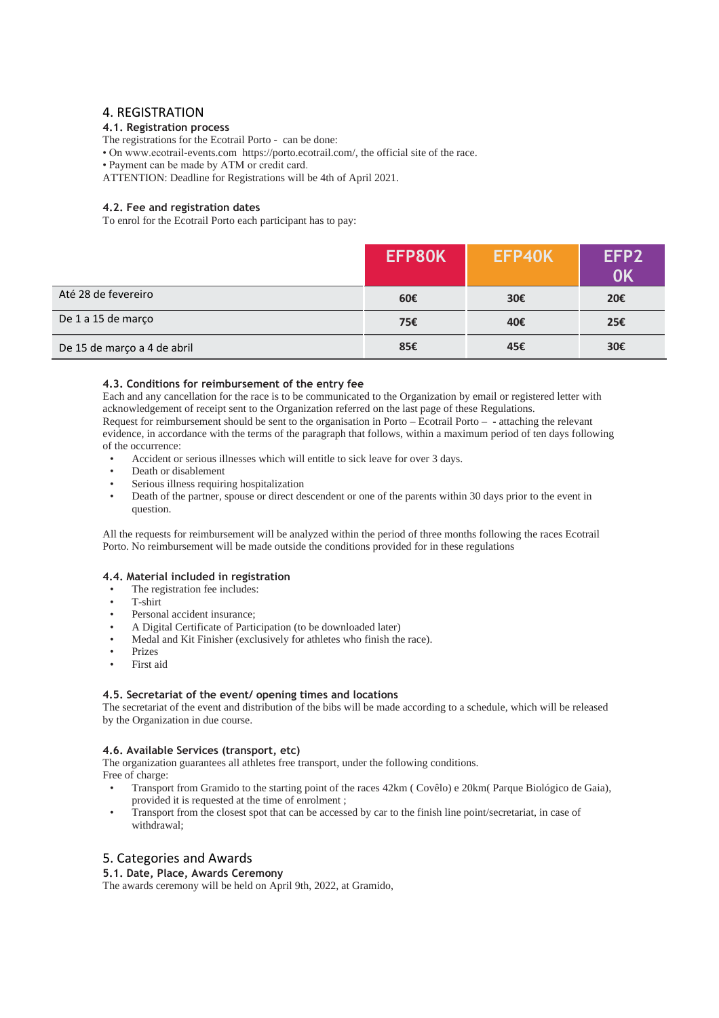# 4. REGISTRATION

### **4.1. Registration process**

The registrations for the Ecotrail Porto - can be done:

• On www.ecotrail-events.com [https://porto.ecotrail.com/,](http://www.ecotrailmadeira.com/) the official site of the race.

• Payment can be made by ATM or credit card.

ATTENTION: Deadline for Registrations will be 4th of April 2021.

### **4.2. Fee and registration dates**

To enrol for the Ecotrail Porto each participant has to pay:

|                             | EFP80K | EFP40K | EFP <sub>2</sub><br>0K |
|-----------------------------|--------|--------|------------------------|
| Até 28 de fevereiro         | 60€    | 30€    | 20€                    |
| De 1 a 15 de março          | 75€    | 40€    | 25€                    |
| De 15 de março a 4 de abril | 85€    | 45€    | 30€                    |

#### **4.3. Conditions for reimbursement of the entry fee**

Each and any cancellation for the race is to be communicated to the Organization by email or registered letter with acknowledgement of receipt sent to the Organization referred on the last page of these Regulations. Request for reimbursement should be sent to the organisation in Porto – Ecotrail Porto – - attaching the relevant evidence, in accordance with the terms of the paragraph that follows, within a maximum period of ten days following of the occurrence:

- Accident or serious illnesses which will entitle to sick leave for over 3 days.
- Death or disablement
- Serious illness requiring hospitalization
- Death of the partner, spouse or direct descendent or one of the parents within 30 days prior to the event in question.

All the requests for reimbursement will be analyzed within the period of three months following the races Ecotrail Porto. No reimbursement will be made outside the conditions provided for in these regulations

#### **4.4. Material included in registration**

- The registration fee includes:
- T-shirt
- Personal accident insurance;
- A Digital Certificate of Participation (to be downloaded later)
- Medal and Kit Finisher (exclusively for athletes who finish the race).
- **Prizes**
- First aid

#### **4.5. Secretariat of the event/ opening times and locations**

The secretariat of the event and distribution of the bibs will be made according to a schedule, which will be released by the Organization in due course.

#### **4.6. Available Services (transport, etc)**

The organization guarantees all athletes free transport, under the following conditions.

Free of charge:

- Transport from Gramido to the starting point of the races 42km ( Covêlo) e 20km( Parque Biológico de Gaia), provided it is requested at the time of enrolment ;
- Transport from the closest spot that can be accessed by car to the finish line point/secretariat, in case of withdrawal;

# 5. Categories and Awards

### **5.1. Date, Place, Awards Ceremony**

The awards ceremony will be held on April 9th, 2022, at Gramido,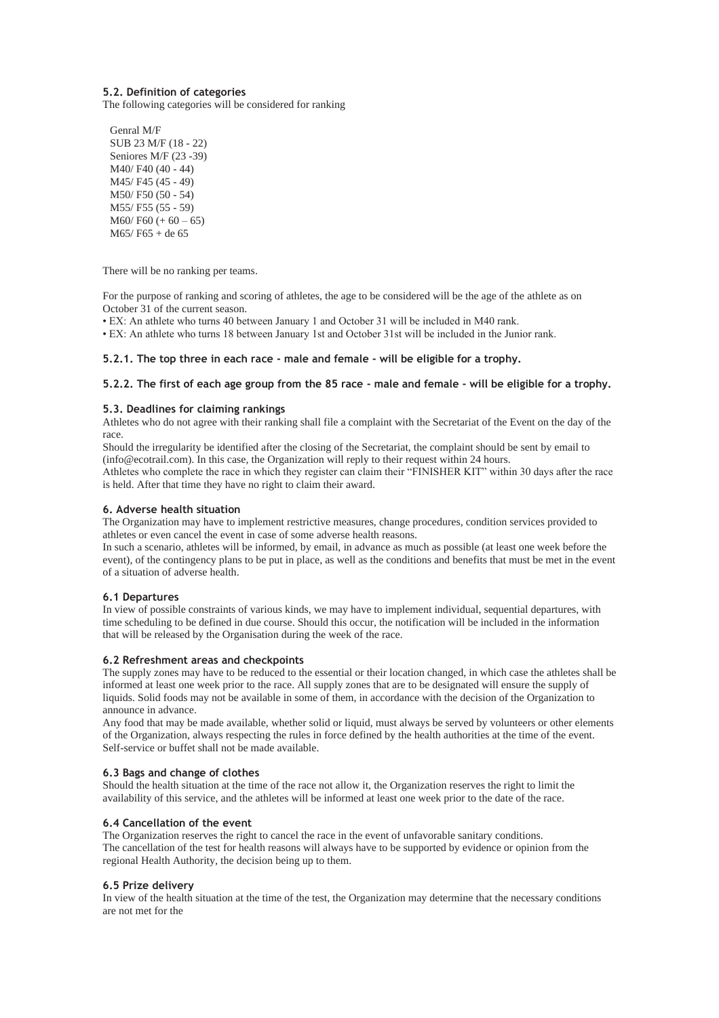#### **5.2. Definition of categories**

The following categories will be considered for ranking

Genral M/F SUB 23 M/F (18 - 22) Seniores M/F (23 -39) M40/ F40 (40 - 44) M45/ F45 (45 - 49) M50/ F50 (50 - 54) M55/ F55 (55 - 59)  $M60/F60 (+ 60 - 65)$ M65/ F65 + de 65

There will be no ranking per teams.

For the purpose of ranking and scoring of athletes, the age to be considered will be the age of the athlete as on October 31 of the current season.

• EX: An athlete who turns 40 between January 1 and October 31 will be included in M40 rank.

• EX: An athlete who turns 18 between January 1st and October 31st will be included in the Junior rank.

#### **5.2.1. The top three in each race - male and female - will be eligible for a trophy.**

#### **5.2.2. The first of each age group from the 85 race - male and female - will be eligible for a trophy.**

#### **5.3. Deadlines for claiming rankings**

Athletes who do not agree with their ranking shall file a complaint with the Secretariat of the Event on the day of the race.

Should the irregularity be identified after the closing of the Secretariat, the complaint should be sent by email to (info@ecotrail.com). In this case, the Organization will reply to their request within 24 hours.

Athletes who complete the race in which they register can claim their "FINISHER KIT" within 30 days after the race is held. After that time they have no right to claim their award.

#### **6. Adverse health situation**

The Organization may have to implement restrictive measures, change procedures, condition services provided to athletes or even cancel the event in case of some adverse health reasons.

In such a scenario, athletes will be informed, by email, in advance as much as possible (at least one week before the event), of the contingency plans to be put in place, as well as the conditions and benefits that must be met in the event of a situation of adverse health.

#### **6.1 Departures**

In view of possible constraints of various kinds, we may have to implement individual, sequential departures, with time scheduling to be defined in due course. Should this occur, the notification will be included in the information that will be released by the Organisation during the week of the race.

#### **6.2 Refreshment areas and checkpoints**

The supply zones may have to be reduced to the essential or their location changed, in which case the athletes shall be informed at least one week prior to the race. All supply zones that are to be designated will ensure the supply of liquids. Solid foods may not be available in some of them, in accordance with the decision of the Organization to announce in advance.

Any food that may be made available, whether solid or liquid, must always be served by volunteers or other elements of the Organization, always respecting the rules in force defined by the health authorities at the time of the event. Self-service or buffet shall not be made available.

#### **6.3 Bags and change of clothes**

Should the health situation at the time of the race not allow it, the Organization reserves the right to limit the availability of this service, and the athletes will be informed at least one week prior to the date of the race.

#### **6.4 Cancellation of the event**

The Organization reserves the right to cancel the race in the event of unfavorable sanitary conditions. The cancellation of the test for health reasons will always have to be supported by evidence or opinion from the regional Health Authority, the decision being up to them.

#### **6.5 Prize delivery**

In view of the health situation at the time of the test, the Organization may determine that the necessary conditions are not met for the